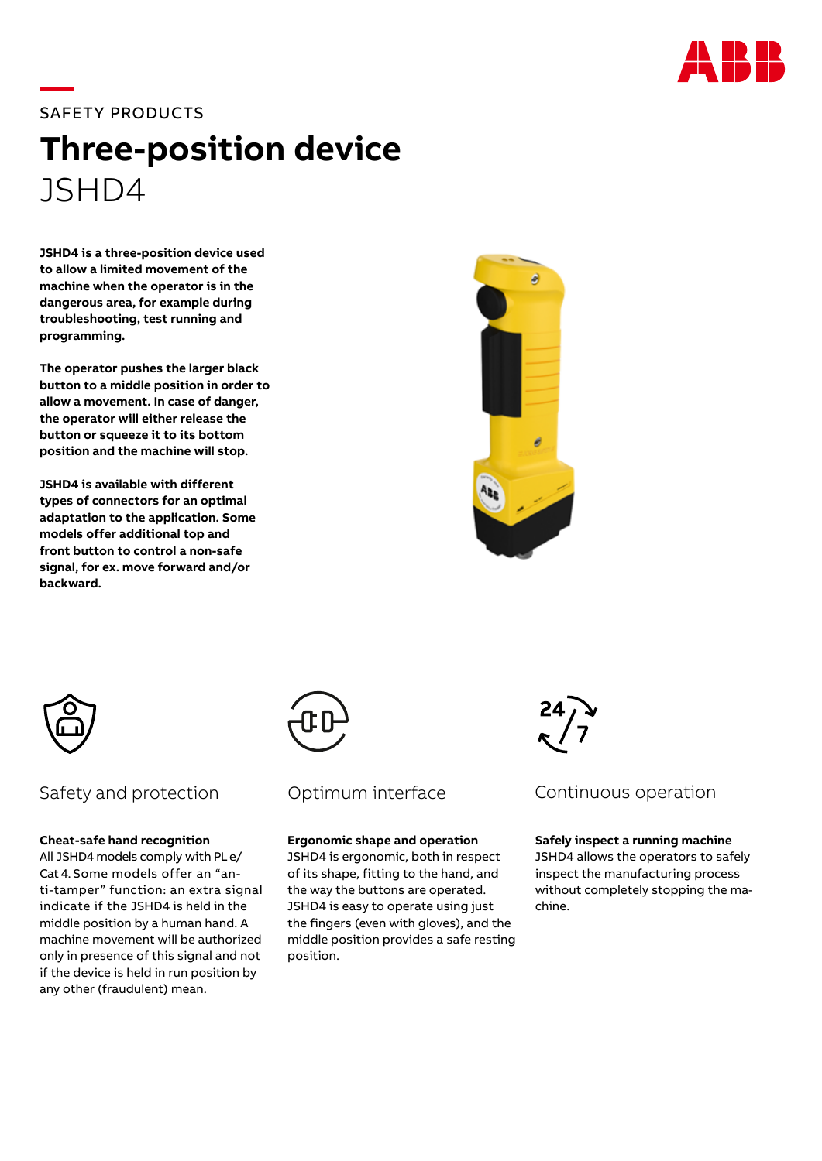

# **—**SAFETY PRODUCTS

# **Three-position device**  JSHD4

**JSHD4 is a three-position device used to allow a limited movement of the machine when the operator is in the dangerous area, for example during troubleshooting, test running and programming.**

**The operator pushes the larger black button to a middle position in order to allow a movement. In case of danger, the operator will either release the button or squeeze it to its bottom position and the machine will stop.**

**JSHD4 is available with different types of connectors for an optimal adaptation to the application. Some models offer additional top and front button to control a non-safe signal, for ex. move forward and/or backward.**





# Safety and protection Continum interface Continuous operation

#### **Cheat-safe hand recognition**

All JSHD4 models comply with PL e/ Cat 4. Some models offer an "anti-tamper" function: an extra signal indicate if the JSHD4 is held in the middle position by a human hand. A machine movement will be authorized only in presence of this signal and not if the device is held in run position by any other (fraudulent) mean.



# Optimum interface

### **Ergonomic shape and operation**

JSHD4 is ergonomic, both in respect of its shape, fitting to the hand, and the way the buttons are operated. JSHD4 is easy to operate using just the fingers (even with gloves), and the middle position provides a safe resting position.



#### **Safely inspect a running machine**

JSHD4 allows the operators to safely inspect the manufacturing process without completely stopping the machine.